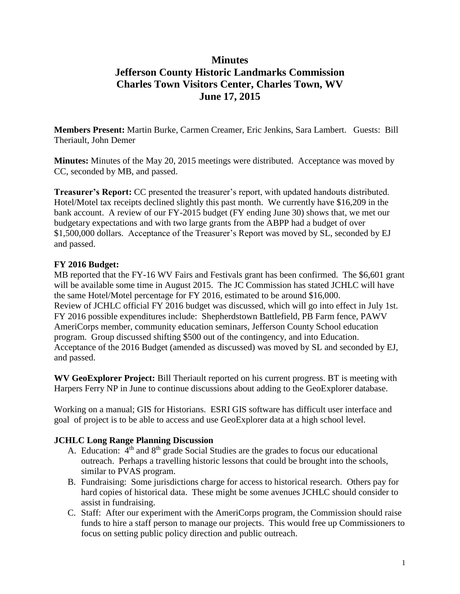## **Minutes Jefferson County Historic Landmarks Commission Charles Town Visitors Center, Charles Town, WV June 17, 2015**

**Members Present:** Martin Burke, Carmen Creamer, Eric Jenkins, Sara Lambert. Guests: Bill Theriault, John Demer

**Minutes:** Minutes of the May 20, 2015 meetings were distributed. Acceptance was moved by CC, seconded by MB, and passed.

**Treasurer's Report:** CC presented the treasurer's report, with updated handouts distributed. Hotel/Motel tax receipts declined slightly this past month. We currently have \$16,209 in the bank account. A review of our FY-2015 budget (FY ending June 30) shows that, we met our budgetary expectations and with two large grants from the ABPP had a budget of over \$1,500,000 dollars. Acceptance of the Treasurer's Report was moved by SL, seconded by EJ and passed.

## **FY 2016 Budget:**

MB reported that the FY-16 WV Fairs and Festivals grant has been confirmed. The \$6,601 grant will be available some time in August 2015. The JC Commission has stated JCHLC will have the same Hotel/Motel percentage for FY 2016, estimated to be around \$16,000. Review of JCHLC official FY 2016 budget was discussed, which will go into effect in July 1st. FY 2016 possible expenditures include: Shepherdstown Battlefield, PB Farm fence, PAWV AmeriCorps member, community education seminars, Jefferson County School education program. Group discussed shifting \$500 out of the contingency, and into Education. Acceptance of the 2016 Budget (amended as discussed) was moved by SL and seconded by EJ, and passed.

**WV GeoExplorer Project:** Bill Theriault reported on his current progress. BT is meeting with Harpers Ferry NP in June to continue discussions about adding to the GeoExplorer database.

Working on a manual; GIS for Historians. ESRI GIS software has difficult user interface and goal of project is to be able to access and use GeoExplorer data at a high school level.

## **JCHLC Long Range Planning Discussion**

- A. Education:  $4<sup>th</sup>$  and  $8<sup>th</sup>$  grade Social Studies are the grades to focus our educational outreach. Perhaps a travelling historic lessons that could be brought into the schools, similar to PVAS program.
- B. Fundraising: Some jurisdictions charge for access to historical research. Others pay for hard copies of historical data. These might be some avenues JCHLC should consider to assist in fundraising.
- C. Staff: After our experiment with the AmeriCorps program, the Commission should raise funds to hire a staff person to manage our projects. This would free up Commissioners to focus on setting public policy direction and public outreach.